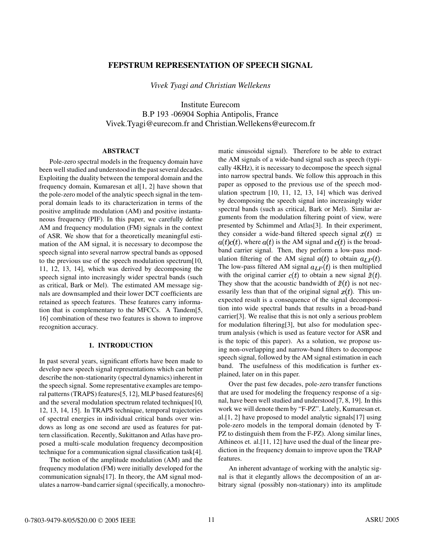# **FEPSTRUM REPRESENTATION OF SPEECH SIGNAL**

*Vivek Tyagi and Christian Wellekens*

Institute Eurecom B.P 193 -06904 Sophia Antipolis, France Vivek.Tyagi@eurecom.fr and Christian.Wellekens@eurecom.fr

### **ABSTRACT**

Pole-zero spectral models in the frequency domain have been well studied and understood in the past several decades. Exploiting the duality between the temporal domain and the frequency domain, Kumaresan et al[1, 2] have shown that the pole-zero model of the analytic speech signal in the temporal domain leads to its characterization in terms of the positive amplitude modulation (AM) and positive instantaneous frequency (PIF). In this paper, we carefully define AM and frequency modulation (FM) signals in the context of ASR. We show that for a theoretically meaningful estimation of the AM signal, it is necessary to decompose the speech signal into several narrow spectral bands as opposed to the previous use of the speech modulation spectrum[10, 11, 12, 13, 14], which was derived by decomposing the speech signal into increasingly wider spectral bands (such as critical, Bark or Mel). The estimated AM message signals are downsampled and their lower DCT coefficients are retained as speech features. These features carry information that is complementary to the MFCCs. A Tandem[5, 16] combination of these two features is shown to improve recognition accuracy.

# **1. INTRODUCTION**

In past several years, significant efforts have been made to develop new speech signal representations which can better describe the non-stationarity (spectral dynamics) inherent in the speech signal. Some representative examples are temporal patterns (TRAPS) features[5, 12], MLP based features[6] and the several modulation spectrum related techniques[10, 12, 13, 14, 15]. In TRAPS technique, temporal trajectories of spectral energies in individual critical bands over windows as long as one second are used as features for pattern classification. Recently, Sukittanon and Atlas have proposed a multi-scale modulation frequency decomposition technique for a communication signal classification task[4].

The notion of the amplitude modulation (AM) and the frequency modulation (FM) were initially developed for the communication signals[17]. In theory, the AM signal modulates a narrow-band carrier signal (specifically, a monochromatic sinusoidal signal). Therefore to be able to extract the AM signals of a wide-band signal such as speech (typically 4KHz), it is necessary to decompose the speech signal into narrow spectral bands. We follow this approach in this paper as opposed to the previous use of the speech modulation spectrum [10, 11, 12, 13, 14] which was derived by decomposing the speech signal into increasingly wider spectral bands (such as critical, Bark or Mel). Similar arguments from the modulation filtering point of view, were presented by Schimmel and Atlas[3]. In their experiment, they consider a wide-band filtered speech signal  $x(t)$  =  $a(t)c(t)$ , where  $a(t)$  is the AM signal and  $c(t)$  is the broadband carrier signal. Then, they perform a low-pass modulation filtering of the AM signal  $a(t)$  to obtain  $a_{LP}(t)$ . The low-pass filtered AM signal  $a_{LP}(t)$  is then multiplied with the original carrier  $c(t)$  to obtain a new signal  $\tilde{x}(t)$ . They show that the acoustic bandwidth of  $\tilde{x}(t)$  is not necessarily less than that of the original signal  $x(t)$ . This unexpected result is a consequence of the signal decomposition into wide spectral bands that results in a broad-band carrier[3]. We realise that this is not only a serious problem for modulation filtering[3], but also for modulation spectrum analysis (which is used as feature vector for ASR and is the topic of this paper). As a solution, we propose using non-overlapping and narrow-band filters to decompose speech signal, followed by the AM signal estimation in each band. The usefulness of this modification is further explained, later on in this paper.

Over the past few decades, pole-zero transfer functions that are used for modeling the frequency response of a signal, have been well studied and understood [7, 8, 19]. In this work we will denote them by "F-PZ". Lately, Kumaresan et. al.[1, 2] have proposed to model analytic signals[17] using pole-zero models in the temporal domain (denoted by T-PZ to distinguish them from the F-PZ). Along similar lines, Athineos et. al.[11, 12] have used the dual of the linear prediction in the frequency domain to improve upon the TRAP features.

An inherent advantage of working with the analytic signal is that it elegantly allows the decomposition of an arbitrary signal (possibly non-stationary) into its amplitude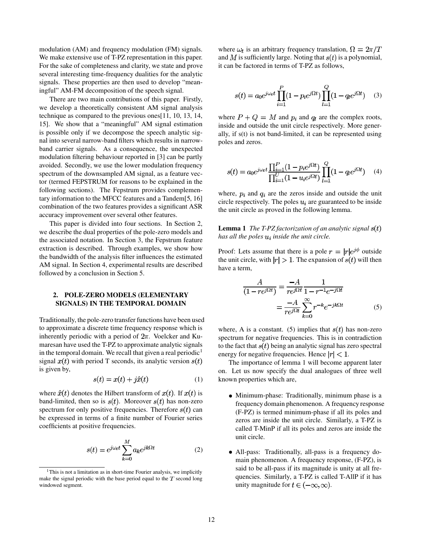modulation (AM) and frequency modulation (FM) signals. We make extensive use of T-PZ representation in this paper. For the sake of completeness and clarity, we state and prove several interesting time-frequency dualities for the analytic signals. These properties are then used to develop "meaningful" AM-FM decomposition of the speech signal.

There are two main contributions of this paper. Firstly, we develop a theoretically consistent AM signal analysis technique as compared to the previous ones[11, 10, 13, 14, 15]. We show that a "meaningful" AM signal estimation is possible only if we decompose the speech analytic signal into several narrow-band filters which results in narrowband carrier signals. As a consequence, the unexpected modulation filtering behaviour reported in [3] can be partly avoided. Secondly, we use the lower modulation frequency spectrum of the downsampled AM signal, as a feature vector (termed FEPSTRUM for reasons to be explained in the following sections). The Fepstrum provides complementary information to the MFCC features and a Tandem[5, 16] combination of the two features provides a significant ASR accuracy improvement over several other features.

This paper is divided into four sections. In Section 2, we describe the dual properties of the pole-zero models and the associated notation. In Section 3, the Fepstrum feature extraction is described. Through examples, we show how the bandwidth of the analysis filter influences the estimated AM signal. In Section 4, experimental results are described followed by a conclusion in Section 5.

# **2. POLE-ZERO MODELS (ELEMENTARY SIGNALS) IN THE TEMPORAL DOMAIN**

Traditionally, the pole-zero transfer functions have been used to approximate a discrete time frequency response which is inherently periodic with a period of  $2\pi$ . Voelcker and Kumaresan have used the T-PZ to approximate analytic signals in the temporal domain. We recall that given a real periodic<sup>1</sup> signal  $x(t)$  with period T seconds, its analytic version  $s(t)$ is given by,

$$
s(t) = x(t) + j\hat{x}(t) \tag{1}
$$

where  $\hat{x}(t)$  denotes the Hilbert transform of  $x(t)$ . If  $x(t)$  is band-limited, then so is  $s(t)$ . Moreover  $s(t)$  has non-zero spectrum for only positive frequencies. Therefore  $s(t)$  can be expressed in terms of a finite number of Fourier series coefficients at positive frequencies.

$$
s(t) = e^{j\omega_t t} \sum_{k=0}^{M} a_k e^{jk\Omega t}
$$
 (2)

where  $\omega_t$  is an arbitrary frequency translation,  $\Omega = 2\pi/T$ and M is sufficiently large. Noting that  $s(t)$  is a polynomial, it can be factored in terms of T-PZ as follows,

$$
s(t) = a_0 e^{j\omega_t t} \prod_{i=1}^P (1 - p_i e^{j\Omega t}) \prod_{l=1}^Q (1 - q_l e^{j\Omega t}) \quad (3)
$$

where  $P + Q = M$  and  $p_i$  and  $q_l$  are the complex roots, inside and outside the unit circle respectively. More generally, if s(t) is not band-limited, it can be represented using poles and zeros.

$$
s(t) = a_0 e^{j\omega_t t} \frac{\prod_{i=1}^P (1 - p_i e^{j\Omega t})}{\prod_{i=1}^U (1 - u_i e^{j\Omega t})} \prod_{l=1}^Q (1 - q_l e^{j\Omega t}) \tag{4}
$$

where,  $p_i$  and  $q_i$  are the zeros inside and outside the unit circle respectively. The poles  $u_i$  are guaranteed to be inside the unit circle as proved in the following lemma.

**Lemma 1** *The T-PZ factorization of an analytic signal has all the poles inside the unit circle.*

Proof: Lets assume that there is a pole  $r = |r|e^{j\phi}$  outside the unit circle, with  $|r| > 1$ . The expansion of  $s(t)$  will then have a term,

$$
\frac{A}{(1 - re^{j\Omega t})} = \frac{-A}{re^{j\Omega t}} \frac{1}{1 - r^{-1}e^{-j\Omega t}}
$$

$$
= \frac{-A}{re^{j\Omega t}} \sum_{k=0}^{\infty} r^{-k}e^{-jk\Omega t}
$$
(5)

where, A is a constant. (5) implies that  $s(t)$  has non-zero spectrum for negative frequencies. This is in contradiction to the fact that  $s(t)$  being an analytic signal has zero spectral energy for negative frequencies. Hence  $|r| < 1$ .

The importance of lemma 1 will become apparent later on. Let us now specify the dual analogues of three well known properties which are,

- Minimum-phase: Traditionally, minimum phase is a frequency domain phenomenon. A frequency response (F-PZ) is termed minimum-phase if all its poles and zeros are inside the unit circle. Similarly, a T-PZ is called T-MinP if all its poles and zeros are inside the unit circle.
- All-pass: Traditionally, all-pass is a frequency domain phenomenon. A frequency response, (F-PZ), is said to be all-pass if its magnitude is unity at all frequencies. Similarly, a T-PZ is called T-AllP if it has unity magnitude for  $t \in (-\infty, \infty)$ .

 $1$ This is not a limitation as in short-time Fourier analysis, we implicitly make the signal periodic with the base period equal to the  $T$  second long windowed segment.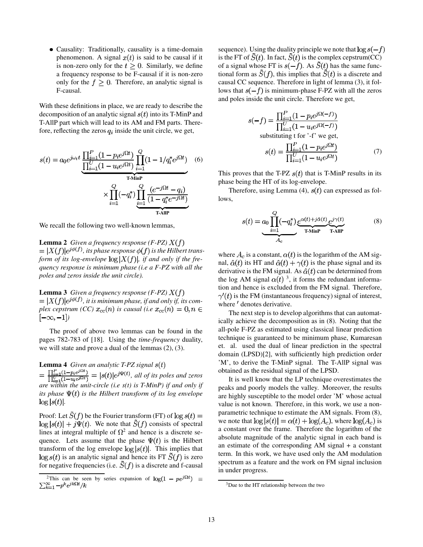Causality: Traditionally, causality is a time-domain phenomenon. A signal  $x(t)$  is said to be causal if it is non-zero only for the  $t > 0$ . Similarly, we define a frequency response to be F-causal if it is non-zero only for the  $f \geq 0$ . Therefore, an analytic signal is F-causal.

With these definitions in place, we are ready to describe the decomposition of an analytic signal  $s(t)$  into its T-MinP and T-AllP part which will lead to its AM and FM parts. Therefore, reflecting the zeros  $q_i$  inside the unit circle, we get,

$$
s(t) = a_0 e^{j\omega_t t} \underbrace{\frac{\prod_{i=1}^P (1 - p_i e^{j\Omega t})}{\prod_{i=1}^U (1 - u_i e^{j\Omega t})} \prod_{i=1}^Q (1 - 1/q_i^* e^{j\Omega t})}_{\text{T-MinP}} \times \underbrace{\prod_{i=1}^Q (-q_i^*) \prod_{i=1}^Q \frac{(e^{-j\Omega t} - q_i)}{(1 - q_i^* e^{-j\Omega t})}}_{\text{T-AIP}}
$$

We recall the following two well-known lemmas,

**Lemma 2** *Given a frequency response (F-PZ)*  $= |X(f)|e^{j\phi(f)}$ , its phase response  $\phi(f)$  is the Hilbert trans*form of its log-envelope*  $\log |X(f)|$ *, if and only if the frequency response is minimum phase (i.e a F-PZ with all the poles and zeros inside the unit circle).*

**Lemma 3** *Given a frequency response*  $(F$ -PZ)  $X(f)$  $= |X(f)|e^{j\phi(f)}$ , it is minimum phase, if and only if, its com*plex cepstrum (CC)*  $x_{cc}(n)$  *is causal (i.e*  $x_{cc}(n) = 0, n \in$  $[-\infty, -1]$ 

The proof of above two lemmas can be found in the pages 782-783 of [18]. Using the *time-frequency* duality, we will state and prove a dual of the lemmas (2), (3).

**Lemma 4** *Given an analytic T-PZ signal*  $=\frac{\prod_{i=1}^P(1-p_ie^{i\Omega t})}{\prod_{i=1}^P(1-u_ie^{i\Omega t})}=|s(t)|e^{j\Psi(t)},$  all of its poles and zeros *are within the unit-circle (i.e s(t) is T-MinP) if and only if its phase*  $\Psi(t)$  *is the Hilbert transform of its log envelope*  $\log|s(t)|$ .

Proof: Let  $\tilde{S}(f)$  be the Fourier transform (FT) of  $\log s(t) =$  $\log |s(t)| + j\Psi(t)$ . We note that  $\tilde{S}(f)$  consists of spectral lines at integral multiple of  $\Omega^2$  and hence is a discrete sequence. Lets assume that the phase  $\Psi(t)$  is the Hilbert transform of the log envelope  $\log |s(t)|$ . This implies that  $\log s(t)$  is an analytic signal and hence its FT  $\tilde{S}(f)$  is zero for negative frequencies (i.e.  $\tilde{S}(f)$  is a discrete and f-causal sequence). Using the duality principle we note that  $\log s(-f)$ is the FT of  $\tilde{S}(t)$ . In fact,  $\tilde{S}(t)$  is the complex cepstrum(CC) of a signal whose FT is  $s(-f)$ . As  $\tilde{S}(t)$  has the same functional form as  $\tilde{S}(f)$ , this implies that  $\tilde{S}(t)$  is a discrete and causal CC sequence. Therefore in light of lemma (3), it follows that  $s(-f)$  is minimum-phase F-PZ with all the zeros and poles inside the unit circle. Therefore we get,

$$
s(-f) = \frac{\prod_{i=1}^{P} (1 - p_i e^{j\Omega(-f)})}{\prod_{i=1}^{U} (1 - u_i e^{j\Omega(-f)})}
$$
  
substituting t for '-f' we get,  

$$
s(t) = \frac{\prod_{i=1}^{P} (1 - p_i e^{j\Omega t})}{\prod_{i=1}^{U} (1 - u_i e^{j\Omega t})}
$$
(7)

This proves that the T-PZ  $s(t)$  that is T-MinP results in its phase being the HT of its log-envelope.

Therefore, using Lemma (4),  $s(t)$  can expressed as follows,

$$
s(t) = a_0 \prod_{i=1}^{Q} (-q_i^*) \underbrace{e^{\alpha(t) + j\alpha(t)}}_{\text{T-MinP}} \underbrace{e^{j\gamma(t)}}_{\text{T-AIP}}
$$
(8)

where  $A_c$  is a constant,  $\alpha(t)$  is the logarithm of the AM signal,  $\hat{\alpha}(t)$  its HT and  $\hat{\alpha}(t) + \gamma(t)$  is the phase signal and its derivative is the FM signal. As  $\hat{\alpha}(t)$  can be determined from the log AM signal  $\alpha(t)$ <sup>3</sup>, it forms the redundant information and hence is excluded from the FM signal. Therefore,  $\gamma'(t)$  is the FM (instantaneous frequency) signal of interest, where  $\prime$  denotes derivative.

The next step is to develop algorithms that can automatically achieve the decomposition as in (8). Noting that the all-pole F-PZ as estimated using classical linear prediction technique is guaranteed to be minimum phase, Kumaresan et. al. used the dual of linear prediction in the spectral domain (LPSD)[2], with sufficiently high prediction order 'M', to derive the T-MinP signal. The T-AllP signal was obtained as the residual signal of the LPSD.

It is well know that the LP technique overestimates the peaks and poorly models the valley. Moreover, the results are highly susceptible to the model order 'M' whose actual value is not known. Therefore, in this work, we use a nonparametric technique to estimate the AM signals. From (8), we note that  $\log |s(t)| = \alpha(t) + \log(A_c)$ , where  $\log(A_c)$  is a constant over the frame. Therefore the logarithm of the absolute magnitude of the analytic signal in each band is an estimate of the corresponding AM signal + a constant term. In this work, we have used only the AM modulation spectrum as a feature and the work on FM signal inclusion in under progress.

<sup>&</sup>lt;sup>2</sup>This can be seen by series expansion of  $log(1 - pe^{j\Omega t}) = \sum_{k=1}^{\infty} -p^k e^{jk\Omega t}/k$ 

<sup>&</sup>lt;sup>3</sup>Due to the HT relationship between the two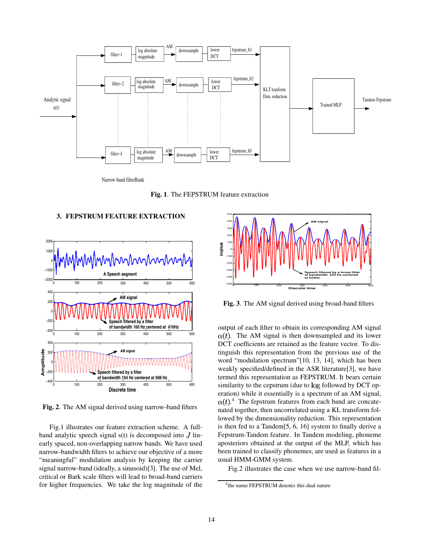

Narrow band filterBank

**Fig. 1**. The FEPSTRUM feature extraction

## **3. FEPSTRUM FEATURE EXTRACTION**



**Fig. 2**. The AM signal derived using narrow-band filters

Fig.1 illustrates our feature extraction scheme. A fullband analytic speech signal  $s(t)$  is decomposed into J linearly spaced, non-overlapping narrow bands. We have used narrow-bandwidth filters to achieve our objective of a more "meaningful" modulation analysis by keeping the carrier signal narrow-band (ideally, a sinusoid)[3]. The use of Mel, critical or Bark scale filters will lead to broad-band carriers for higher frequencies. We take the log magnitude of the



**Fig. 3**. The AM signal derived using broad-band filters

output of each filter to obtain its corresponding AM signal  $\alpha(t)$ . The AM signal is then downsampled and its lower DCT coefficients are retained as the feature vector. To distinguish this representation from the previous use of the word "modulation spectrum"[10, 13, 14], which has been weakly specified/defined in the ASR literature[3], we have termed this representation as FEPSTRUM. It bears certain similarity to the cepstrum (due to log followed by DCT operation) while it essentially is a spectrum of an AM signal, . <sup>4</sup> The fepstrum features from each band are concatenated together, then uncorrelated using a KL transform followed by the dimensionality reduction. This representation is then fed to a Tandem[5, 6, 16] system to finally derive a Fepstrum-Tandem feature. In Tandem modeling, phoneme aposteriors obtained at the output of the MLP, which has been trained to classify phonemes, are used as features in a usual HMM-GMM system.

Fig.2 illustrates the case when we use narrow-band fil-

<sup>&</sup>lt;sup>4</sup>the name FEPSTRUM denotes this dual nature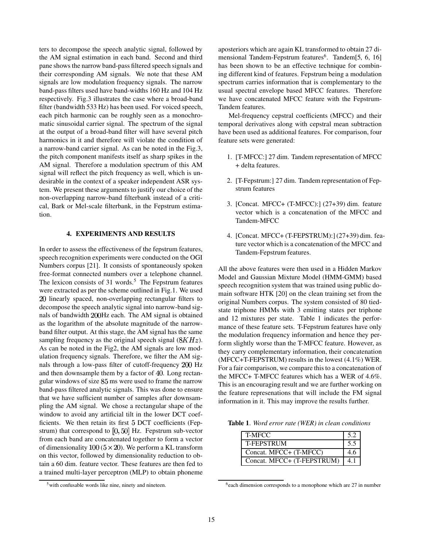ters to decompose the speech analytic signal, followed by the AM signal estimation in each band. Second and third pane shows the narrow band-pass filtered speech signals and their corresponding AM signals. We note that these AM signals are low modulation frequency signals. The narrow band-pass filters used have band-widths 160 Hz and 104 Hz respectively. Fig.3 illustrates the case where a broad-band filter (bandwidth 533 Hz) has been used. For voiced speech, each pitch harmonic can be roughly seen as a monochromatic sinusoidal carrier signal. The spectrum of the signal at the output of a broad-band filter will have several pitch harmonics in it and therefore will violate the condition of a narrow-band carrier signal. As can be noted in the Fig.3, the pitch component manifests itself as sharp spikes in the AM signal. Therefore a modulation spectrum of this AM signal will reflect the pitch frequency as well, which is undesirable in the context of a speaker independent ASR system. We present these arguments to justify our choice of the non-overlapping narrow-band filterbank instead of a critical, Bark or Mel-scale filterbank, in the Fepstrum estimation.

# **4. EXPERIMENTS AND RESULTS**

In order to assess the effectiveness of the fepstrum features, speech recognition experiments were conducted on the OGI Numbers corpus [21]. It consists of spontaneously spoken free-format connected numbers over a telephone channel. The lexicon consists of 31 words.<sup>5</sup> The Fepstrum features were extracted as per the scheme outlined in Fig.1. We used 20 linearly spaced, non-overlapping rectangular filters to decompose the speech analytic signal into narrow-band signals of bandwidth 200Hz each. The AM signal is obtained as the logarithm of the absolute magnitude of the narrowband filter output. At this stage, the AM signal has the same sampling frequency as the original speech signal  $(8KHz)$ . As can be noted in the Fig2, the AM signals are low modulation frequency signals. Therefore, we filter the AM signals through a low-pass filter of cutoff-frequency 200 Hz and then downsample them by a factor of  $40$ . Long rectangular windows of size 85 ms were used to frame the narrow band-pass filtered analytic signals. This was done to ensure that we have sufficient number of samples after downsampling the AM signal. We chose a rectangular shape of the window to avoid any artificial tilt in the lower DCT coefficients. We then retain its first 5 DCT coefficients (Fepstrum) that correspond to  $[0, 50]$  Hz. Fepstrum sub-vector from each band are concatenated together to form a vector of dimensionality  $100 (5 \times 20)$ . We perform a KL transform on this vector, followed by dimensionality reduction to obtain a 60 dim. feature vector. These features are then fed to a trained multi-layer perceptron (MLP) to obtain phoneme aposteriors which are again KL transformed to obtain 27 dimensional Tandem-Fepstrum features<sup>6</sup>. Tandem[5, 6, 16] has been shown to be an effective technique for combining different kind of features. Fepstrum being a modulation spectrum carries information that is complementary to the usual spectral envelope based MFCC features. Therefore we have concatenated MFCC feature with the Fepstrum-Tandem features.

Mel-frequency cepstral coefficients (MFCC) and their temporal derivatives along with cepstral mean subtraction have been used as additional features. For comparison, four feature sets were generated:

- 1. [T-MFCC:] 27 dim. Tandem representation of MFCC + delta features.
- 2. [T-Fepstrum:] 27 dim. Tandem representation of Fepstrum features
- 3. [Concat. MFCC+ (T-MFCC):] (27+39) dim. feature vector which is a concatenation of the MFCC and Tandem-MFCC
- 4. [Concat. MFCC+ (T-FEPSTRUM):] (27+39) dim. feature vector which is a concatenation of the MFCC and Tandem-Fepstrum features.

All the above features were then used in a Hidden Markov Model and Gaussian Mixture Model (HMM-GMM) based speech recognition system that was trained using public domain software HTK [20] on the clean training set from the original Numbers corpus. The system consisted of 80 tiedstate triphone HMMs with 3 emitting states per triphone and 12 mixtures per state. Table 1 indicates the performance of these feature sets. T-Fepstrum features have only the modulation frequency information and hence they perform slightly worse than the T-MFCC feature. However, as they carry complementary information, their concatenation (MFCC+T-FEPSTRUM) results in the lowest (4.1%) WER. For a fair comparison, we compare this to a concatenation of the MFCC+ T-MFCC features which has a WER of 4.6%. This is an encouraging result and we are further working on the feature represenations that will include the FM signal information in it. This may improve the results further.

**Table 1**. *Word error rate (WER) in clean conditions*

| <b>T-MFCC</b>              |     |
|----------------------------|-----|
| <b>T-FEPSTRUM</b>          | 5.5 |
| Concat. MFCC+ (T-MFCC)     | 4.6 |
| Concat. MFCC+ (T-FEPSTRUM) | 4.1 |

 $6$ each dimension corresponds to a monophone which are 27 in number

 $5$  with confusable words like nine, ninety and nineteen.